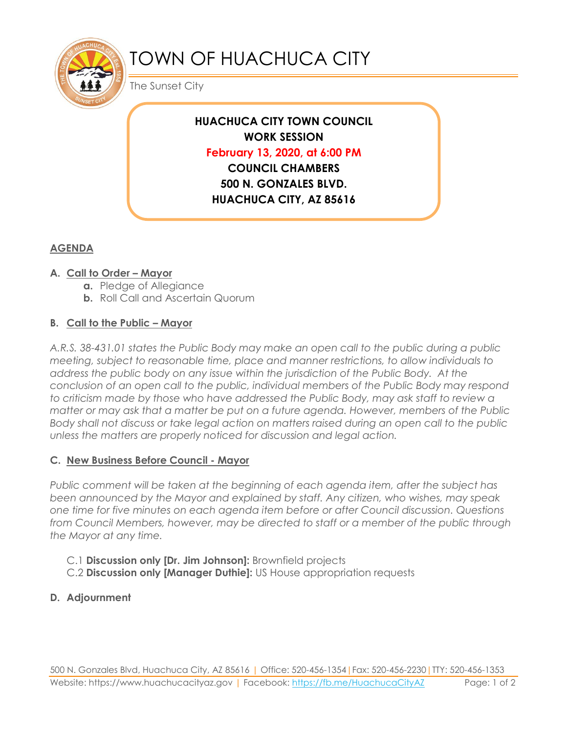

# TOWN OF HUACHUCA CITY

The Sunset City

## **HUACHUCA CITY TOWN COUNCIL WORK SESSION February 13, 2020, at 6:00 PM COUNCIL CHAMBERS 500 N. GONZALES BLVD. HUACHUCA CITY, AZ 85616**

### **AGENDA**

#### **A. Call to Order – Mayor**

- **a.** Pledge of Allegiance
- **b.** Roll Call and Ascertain Quorum

#### **B. Call to the Public – Mayor**

*A.R.S. 38-431.01 states the Public Body may make an open call to the public during a public meeting, subject to reasonable time, place and manner restrictions, to allow individuals to address the public body on any issue within the jurisdiction of the Public Body. At the conclusion of an open call to the public, individual members of the Public Body may respond to criticism made by those who have addressed the Public Body, may ask staff to review a matter or may ask that a matter be put on a future agenda. However, members of the Public Body shall not discuss or take legal action on matters raised during an open call to the public unless the matters are properly noticed for discussion and legal action.*

#### **C. New Business Before Council - Mayor**

*Public comment will be taken at the beginning of each agenda item, after the subject has been announced by the Mayor and explained by staff. Any citizen, who wishes, may speak one time for five minutes on each agenda item before or after Council discussion. Questions from Council Members, however, may be directed to staff or a member of the public through the Mayor at any time.* 

- C.1 **Discussion only [Dr. Jim Johnson]:** Brownfield projects
- C.2 **Discussion only [Manager Duthie]:** US House appropriation requests

#### **D. Adjournment**